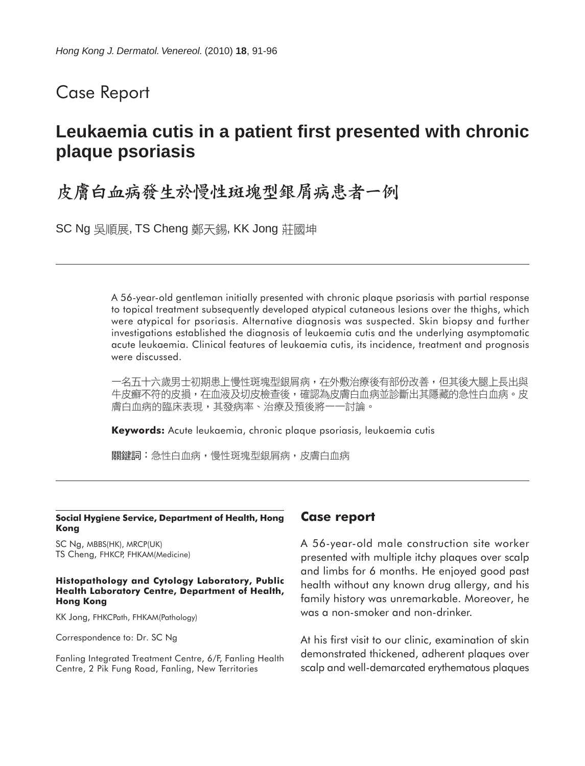## Case Report

# **Leukaemia cutis in a patient first presented with chronic plaque psoriasis**

# 皮膚白血病發生於慢性斑塊型銀屑病患者一例

SC Ng 吳順展, TS Cheng 鄭天錫, KK Jong 莊國坤

A 56-year-old gentleman initially presented with chronic plaque psoriasis with partial response to topical treatment subsequently developed atypical cutaneous lesions over the thighs, which were atypical for psoriasis. Alternative diagnosis was suspected. Skin biopsy and further investigations established the diagnosis of leukaemia cutis and the underlying asymptomatic acute leukaemia. Clinical features of leukaemia cutis, its incidence, treatment and prognosis were discussed.

一名五十六歲男士初期患上慢性斑塊型銀屑病,在外敷治療後有部份改善,但其後大腿上長出與 牛皮癬不符的皮損,在血液及切皮檢查後,確認為皮膚白血病並診斷出其隱藏的急性白血病。皮 膚白血病的臨床表現,其發病率、治療及預後將一一討論。

**Keywords:** Acute leukaemia, chronic plaque psoriasis, leukaemia cutis

關鍵詞:急性白血病,慢性斑塊型銀屑病,皮膚白血病

#### **Social Hygiene Service, Department of Health, Hong Kong**

SC Ng, MBBS(HK), MRCP(UK) TS Cheng, FHKCP, FHKAM(Medicine)

#### **Histopathology and Cytology Laboratory, Public Health Laboratory Centre, Department of Health, Hong Kong**

KK Jong, FHKCPath, FHKAM(Pathology)

Correspondence to: Dr. SC Ng

Fanling Integrated Treatment Centre, 6/F, Fanling Health Centre, 2 Pik Fung Road, Fanling, New Territories

### **Case report**

A 56-year-old male construction site worker presented with multiple itchy plaques over scalp and limbs for 6 months. He enjoyed good past health without any known drug allergy, and his family history was unremarkable. Moreover, he was a non-smoker and non-drinker.

At his first visit to our clinic, examination of skin demonstrated thickened, adherent plaques over scalp and well-demarcated erythematous plaques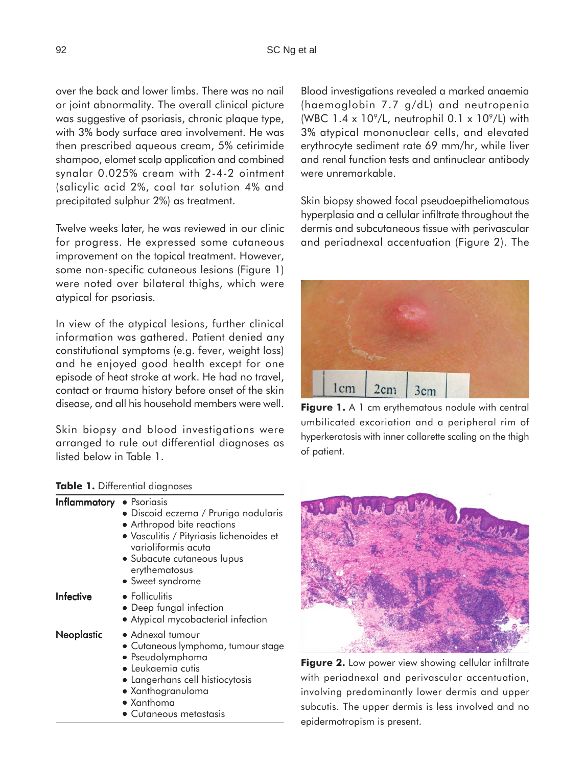over the back and lower limbs. There was no nail or joint abnormality. The overall clinical picture was suggestive of psoriasis, chronic plaque type, with 3% body surface area involvement. He was then prescribed aqueous cream, 5% cetirimide shampoo, elomet scalp application and combined synalar 0.025% cream with 2-4-2 ointment (salicylic acid 2%, coal tar solution 4% and precipitated sulphur 2%) as treatment.

Twelve weeks later, he was reviewed in our clinic for progress. He expressed some cutaneous improvement on the topical treatment. However, some non-specific cutaneous lesions (Figure 1) were noted over bilateral thighs, which were atypical for psoriasis.

In view of the atypical lesions, further clinical information was gathered. Patient denied any constitutional symptoms (e.g. fever, weight loss) and he enjoyed good health except for one episode of heat stroke at work. He had no travel, contact or trauma history before onset of the skin disease, and all his household members were well.

Skin biopsy and blood investigations were arranged to rule out differential diagnoses as listed below in Table 1.

|  |  | Table 1. Differential diagnoses |  |
|--|--|---------------------------------|--|
|--|--|---------------------------------|--|

| Inflammatory      | • Psoriasis<br>• Discoid eczema / Prurigo nodularis<br>• Arthropod bite reactions<br>· Vasculitis / Pityriasis lichenoides et<br>varioliformis acuta<br>• Subacute cutaneous lupus<br>erythematosus                     |  |
|-------------------|-------------------------------------------------------------------------------------------------------------------------------------------------------------------------------------------------------------------------|--|
|                   | • Sweet syndrome                                                                                                                                                                                                        |  |
| Infective         | • Folliculitis<br>• Deep fungal infection<br>• Atypical mycobacterial infection                                                                                                                                         |  |
| <b>Neoplastic</b> | • Adnexal tumour<br>• Cutaneous lymphoma, tumour stage<br>• Pseudolymphoma<br>$\bullet$ Leukaemia cutis<br>• Langerhans cell histiocytosis<br>• Xanthogranuloma<br>$\bullet$ Xanthoma<br>$\bullet$ Cutaneous metastasis |  |

Blood investigations revealed a marked anaemia (haemoglobin 7.7 g/dL) and neutropenia (WBC  $1.4 \times 10^9$ /L, neutrophil 0.1 x  $10^9$ /L) with 3% atypical mononuclear cells, and elevated erythrocyte sediment rate 69 mm/hr, while liver and renal function tests and antinuclear antibody were unremarkable.

Skin biopsy showed focal pseudoepitheliomatous hyperplasia and a cellular infiltrate throughout the dermis and subcutaneous tissue with perivascular and periadnexal accentuation (Figure 2). The



Figure 1. A 1 cm erythematous nodule with central umbilicated excoriation and a peripheral rim of hyperkeratosis with inner collarette scaling on the thigh of patient.



Figure 2. Low power view showing cellular infiltrate with periadnexal and perivascular accentuation, involving predominantly lower dermis and upper subcutis. The upper dermis is less involved and no epidermotropism is present.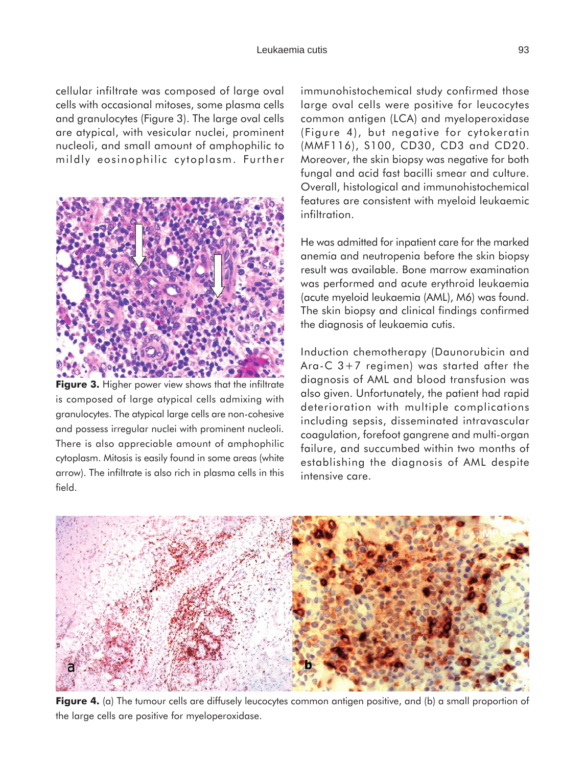#### Leukaemia cutis 93

cellular infiltrate was composed of large oval cells with occasional mitoses, some plasma cells and granulocytes (Figure 3). The large oval cells are atypical, with vesicular nuclei, prominent nucleoli, and small amount of amphophilic to mildly eosinophilic cytoplasm. Further



**Figure 3.** Higher power view shows that the infiltrate is composed of large atypical cells admixing with granulocytes. The atypical large cells are non-cohesive and possess irregular nuclei with prominent nucleoli. There is also appreciable amount of amphophilic cytoplasm. Mitosis is easily found in some areas (white arrow). The infiltrate is also rich in plasma cells in this field.

immunohistochemical study confirmed those large oval cells were positive for leucocytes common antigen (LCA) and myeloperoxidase (Figure 4), but negative for cytokeratin (MMF116), S100, CD30, CD3 and CD20. Moreover, the skin biopsy was negative for both fungal and acid fast bacilli smear and culture. Overall, histological and immunohistochemical features are consistent with myeloid leukaemic infiltration.

He was admitted for inpatient care for the marked anemia and neutropenia before the skin biopsy result was available. Bone marrow examination was performed and acute erythroid leukaemia (acute myeloid leukaemia (AML), M6) was found. The skin biopsy and clinical findings confirmed the diagnosis of leukaemia cutis.

Induction chemotherapy (Daunorubicin and Ara-C 3+7 regimen) was started after the diagnosis of AML and blood transfusion was also given. Unfortunately, the patient had rapid deterioration with multiple complications including sepsis, disseminated intravascular coagulation, forefoot gangrene and multi-organ failure, and succumbed within two months of establishing the diagnosis of AML despite intensive care.



**Figure 4.** (a) The tumour cells are diffusely leucocytes common antigen positive, and (b) a small proportion of the large cells are positive for myeloperoxidase.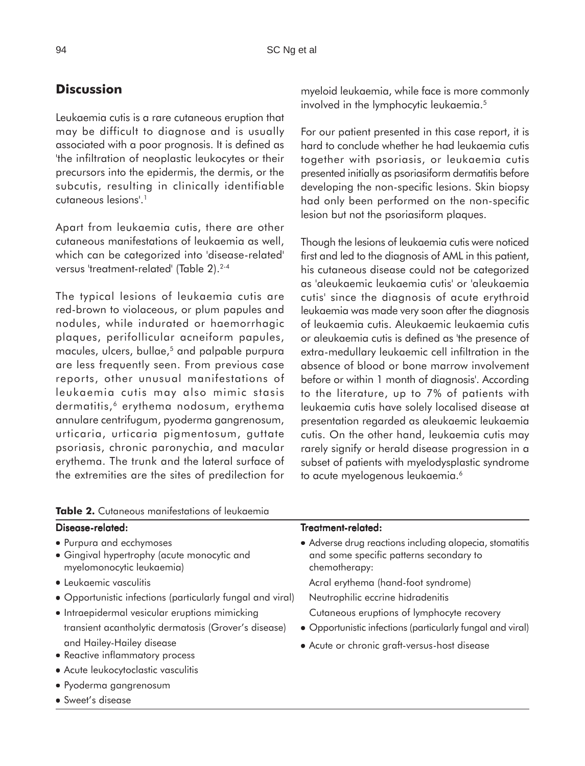### **Discussion**

Leukaemia cutis is a rare cutaneous eruption that may be difficult to diagnose and is usually associated with a poor prognosis. It is defined as 'the infiltration of neoplastic leukocytes or their precursors into the epidermis, the dermis, or the subcutis, resulting in clinically identifiable cutaneous lesions'.1

Apart from leukaemia cutis, there are other cutaneous manifestations of leukaemia as well, which can be categorized into 'disease-related' versus 'treatment-related' (Table 2).<sup>2-4</sup>

The typical lesions of leukaemia cutis are red-brown to violaceous, or plum papules and nodules, while indurated or haemorrhagic plaques, perifollicular acneiform papules, macules, ulcers, bullae,<sup>5</sup> and palpable purpura are less frequently seen. From previous case reports, other unusual manifestations of leukaemia cutis may also mimic stasis dermatitis,<sup>6</sup> erythema nodosum, erythema annulare centrifugum, pyoderma gangrenosum, urticaria, urticaria pigmentosum, guttate psoriasis, chronic paronychia, and macular erythema. The trunk and the lateral surface of the extremities are the sites of predilection for myeloid leukaemia, while face is more commonly involved in the lymphocytic leukaemia.<sup>5</sup>

For our patient presented in this case report, it is hard to conclude whether he had leukaemia cutis together with psoriasis, or leukaemia cutis presented initially as psoriasiform dermatitis before developing the non-specific lesions. Skin biopsy had only been performed on the non-specific lesion but not the psoriasiform plaques.

Though the lesions of leukaemia cutis were noticed first and led to the diagnosis of AML in this patient, his cutaneous disease could not be categorized as 'aleukaemic leukaemia cutis' or 'aleukaemia cutis' since the diagnosis of acute erythroid leukaemia was made very soon after the diagnosis of leukaemia cutis. Aleukaemic leukaemia cutis or aleukaemia cutis is defined as 'the presence of extra-medullary leukaemic cell infiltration in the absence of blood or bone marrow involvement before or within 1 month of diagnosis'. According to the literature, up to 7% of patients with leukaemia cutis have solely localised disease at presentation regarded as aleukaemic leukaemia cutis. On the other hand, leukaemia cutis may rarely signify or herald disease progression in a subset of patients with myelodysplastic syndrome to acute myelogenous leukaemia.<sup>6</sup>

| Disease-related:                                                                                     | <b>Treatment-related:</b>                                                                                           |
|------------------------------------------------------------------------------------------------------|---------------------------------------------------------------------------------------------------------------------|
| • Purpura and ecchymoses<br>· Gingival hypertrophy (acute monocytic and<br>myelomonocytic leukaemia) | • Adverse drug reactions including alopecia, stomatitis<br>and some specific patterns secondary to<br>chemotherapy: |
| • Leukaemic vasculitis                                                                               | Acral erythema (hand-foot syndrome)                                                                                 |
| • Opportunistic infections (particularly fungal and viral)                                           | Neutrophilic eccrine hidradenitis                                                                                   |
| · Intraepidermal vesicular eruptions mimicking                                                       | Cutaneous eruptions of lymphocyte recovery                                                                          |
| transient acantholytic dermatosis (Grover's disease)                                                 | • Opportunistic infections (particularly fungal and viral)                                                          |
| and Hailey-Hailey disease<br>• Reactive inflammatory process                                         | • Acute or chronic graft-versus-host disease                                                                        |
| • Acute leukocytoclastic vasculitis                                                                  |                                                                                                                     |

**Table 2.** Cutaneous manifestations of leukaemia

• Pyoderma gangrenosum

• Sweet's disease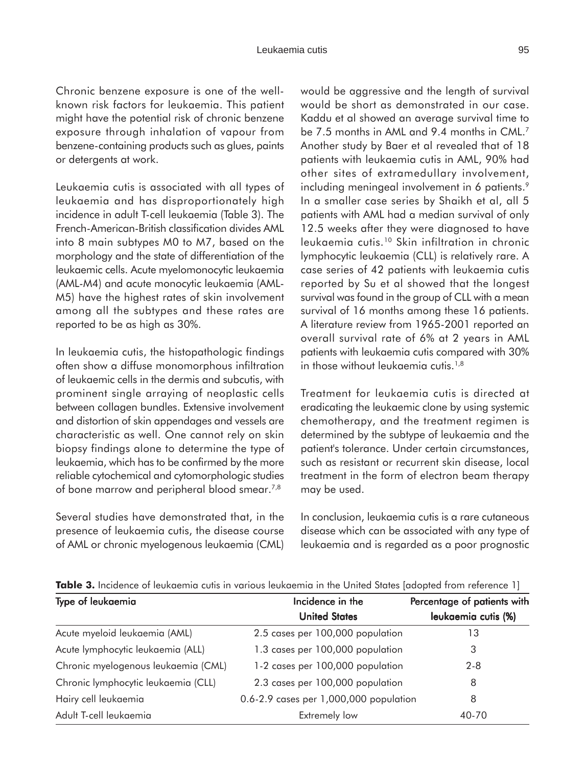Chronic benzene exposure is one of the wellknown risk factors for leukaemia. This patient might have the potential risk of chronic benzene exposure through inhalation of vapour from benzene-containing products such as glues, paints or detergents at work.

Leukaemia cutis is associated with all types of leukaemia and has disproportionately high incidence in adult T-cell leukaemia (Table 3). The French-American-British classification divides AML into 8 main subtypes M0 to M7, based on the morphology and the state of differentiation of the leukaemic cells. Acute myelomonocytic leukaemia (AML-M4) and acute monocytic leukaemia (AML-M5) have the highest rates of skin involvement among all the subtypes and these rates are reported to be as high as 30%.

In leukaemia cutis, the histopathologic findings often show a diffuse monomorphous infiltration of leukaemic cells in the dermis and subcutis, with prominent single arraying of neoplastic cells between collagen bundles. Extensive involvement and distortion of skin appendages and vessels are characteristic as well. One cannot rely on skin biopsy findings alone to determine the type of leukaemia, which has to be confirmed by the more reliable cytochemical and cytomorphologic studies of bone marrow and peripheral blood smear.<sup>7,8</sup>

Several studies have demonstrated that, in the presence of leukaemia cutis, the disease course of AML or chronic myelogenous leukaemia (CML) would be aggressive and the length of survival would be short as demonstrated in our case. Kaddu et al showed an average survival time to be 7.5 months in AML and 9.4 months in CML.<sup>7</sup> Another study by Baer et al revealed that of 18 patients with leukaemia cutis in AML, 90% had other sites of extramedullary involvement, including meningeal involvement in 6 patients.<sup>9</sup> In a smaller case series by Shaikh et al, all 5 patients with AML had a median survival of only 12.5 weeks after they were diagnosed to have leukaemia cutis.10 Skin infiltration in chronic lymphocytic leukaemia (CLL) is relatively rare. A case series of 42 patients with leukaemia cutis reported by Su et al showed that the longest survival was found in the group of CLL with a mean survival of 16 months among these 16 patients. A literature review from 1965-2001 reported an overall survival rate of 6% at 2 years in AML patients with leukaemia cutis compared with 30% in those without leukaemia cutis.<sup>1,8</sup>

Treatment for leukaemia cutis is directed at eradicating the leukaemic clone by using systemic chemotherapy, and the treatment regimen is determined by the subtype of leukaemia and the patient's tolerance. Under certain circumstances, such as resistant or recurrent skin disease, local treatment in the form of electron beam therapy may be used.

In conclusion, leukaemia cutis is a rare cutaneous disease which can be associated with any type of leukaemia and is regarded as a poor prognostic

| Type of leukaemia                   | Incidence in the                       | Percentage of patients with |  |
|-------------------------------------|----------------------------------------|-----------------------------|--|
|                                     | <b>United States</b>                   | leukaemia cutis (%)         |  |
| Acute myeloid leukaemia (AML)       | 2.5 cases per 100,000 population       | 13                          |  |
| Acute lymphocytic leukaemia (ALL)   | 1.3 cases per 100,000 population       | 3                           |  |
| Chronic myelogenous leukaemia (CML) | 1-2 cases per 100,000 population       | $2 - 8$                     |  |
| Chronic lymphocytic leukaemia (CLL) | 2.3 cases per 100,000 population       | 8                           |  |
| Hairy cell leukaemia                | 0.6-2.9 cases per 1,000,000 population | 8                           |  |
| Adult T-cell leukaemia              | Extremely low                          | 40-70                       |  |

**Table 3.** Incidence of leukaemia cutis in various leukaemia in the United States [adopted from reference 1]